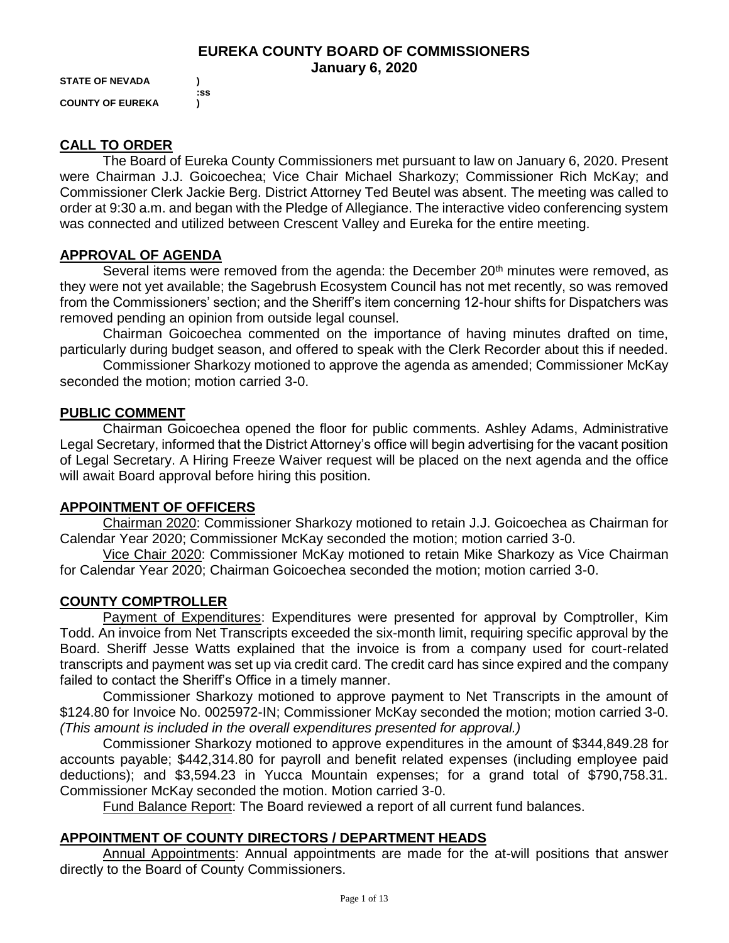# **EUREKA COUNTY BOARD OF COMMISSIONERS January 6, 2020**

**STATE OF NEVADA ) COUNTY OF EUREKA )**

 **:ss**

# **CALL TO ORDER**

The Board of Eureka County Commissioners met pursuant to law on January 6, 2020. Present were Chairman J.J. Goicoechea; Vice Chair Michael Sharkozy; Commissioner Rich McKay; and Commissioner Clerk Jackie Berg. District Attorney Ted Beutel was absent. The meeting was called to order at 9:30 a.m. and began with the Pledge of Allegiance. The interactive video conferencing system was connected and utilized between Crescent Valley and Eureka for the entire meeting.

# **APPROVAL OF AGENDA**

Several items were removed from the agenda: the December  $20<sup>th</sup>$  minutes were removed, as they were not yet available; the Sagebrush Ecosystem Council has not met recently, so was removed from the Commissioners' section; and the Sheriff's item concerning 12-hour shifts for Dispatchers was removed pending an opinion from outside legal counsel.

Chairman Goicoechea commented on the importance of having minutes drafted on time, particularly during budget season, and offered to speak with the Clerk Recorder about this if needed.

Commissioner Sharkozy motioned to approve the agenda as amended; Commissioner McKay seconded the motion; motion carried 3-0.

# **PUBLIC COMMENT**

Chairman Goicoechea opened the floor for public comments. Ashley Adams, Administrative Legal Secretary, informed that the District Attorney's office will begin advertising for the vacant position of Legal Secretary. A Hiring Freeze Waiver request will be placed on the next agenda and the office will await Board approval before hiring this position.

#### **APPOINTMENT OF OFFICERS**

Chairman 2020: Commissioner Sharkozy motioned to retain J.J. Goicoechea as Chairman for Calendar Year 2020; Commissioner McKay seconded the motion; motion carried 3-0.

Vice Chair 2020: Commissioner McKay motioned to retain Mike Sharkozy as Vice Chairman for Calendar Year 2020; Chairman Goicoechea seconded the motion; motion carried 3-0.

# **COUNTY COMPTROLLER**

Payment of Expenditures: Expenditures were presented for approval by Comptroller, Kim Todd. An invoice from Net Transcripts exceeded the six-month limit, requiring specific approval by the Board. Sheriff Jesse Watts explained that the invoice is from a company used for court-related transcripts and payment was set up via credit card. The credit card has since expired and the company failed to contact the Sheriff's Office in a timely manner.

Commissioner Sharkozy motioned to approve payment to Net Transcripts in the amount of \$124.80 for Invoice No. 0025972-IN; Commissioner McKay seconded the motion; motion carried 3-0. *(This amount is included in the overall expenditures presented for approval.)* 

Commissioner Sharkozy motioned to approve expenditures in the amount of \$344,849.28 for accounts payable; \$442,314.80 for payroll and benefit related expenses (including employee paid deductions); and \$3,594.23 in Yucca Mountain expenses; for a grand total of \$790,758.31. Commissioner McKay seconded the motion. Motion carried 3-0.

Fund Balance Report: The Board reviewed a report of all current fund balances.

# **APPOINTMENT OF COUNTY DIRECTORS / DEPARTMENT HEADS**

Annual Appointments: Annual appointments are made for the at-will positions that answer directly to the Board of County Commissioners.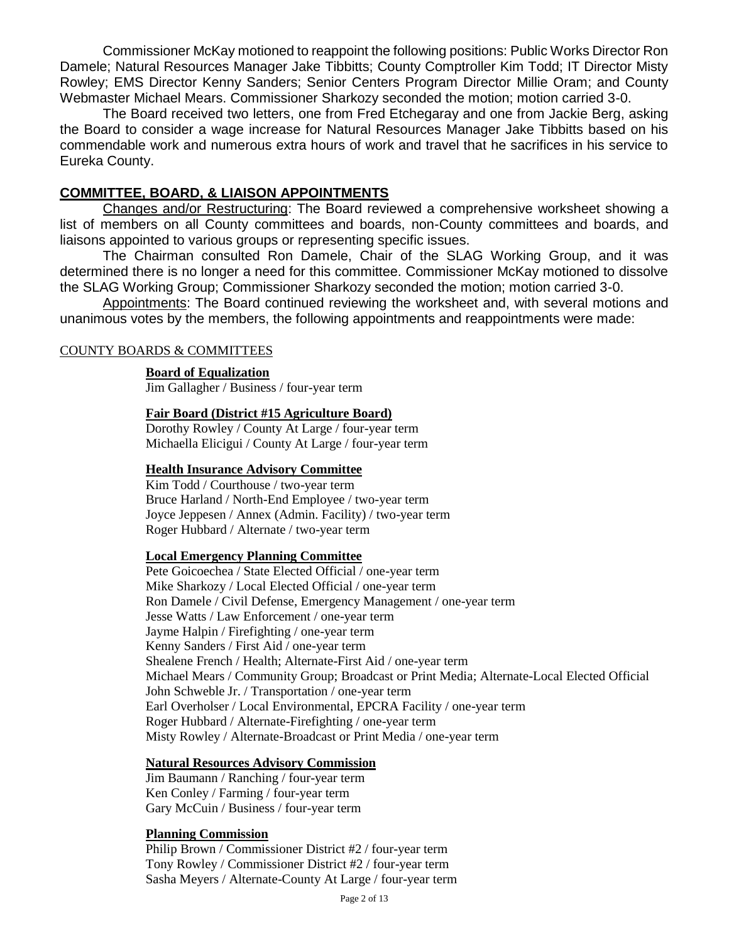Commissioner McKay motioned to reappoint the following positions: Public Works Director Ron Damele; Natural Resources Manager Jake Tibbitts; County Comptroller Kim Todd; IT Director Misty Rowley; EMS Director Kenny Sanders; Senior Centers Program Director Millie Oram; and County Webmaster Michael Mears. Commissioner Sharkozy seconded the motion; motion carried 3-0.

The Board received two letters, one from Fred Etchegaray and one from Jackie Berg, asking the Board to consider a wage increase for Natural Resources Manager Jake Tibbitts based on his commendable work and numerous extra hours of work and travel that he sacrifices in his service to Eureka County.

### **COMMITTEE, BOARD, & LIAISON APPOINTMENTS**

Changes and/or Restructuring: The Board reviewed a comprehensive worksheet showing a list of members on all County committees and boards, non-County committees and boards, and liaisons appointed to various groups or representing specific issues.

The Chairman consulted Ron Damele, Chair of the SLAG Working Group, and it was determined there is no longer a need for this committee. Commissioner McKay motioned to dissolve the SLAG Working Group; Commissioner Sharkozy seconded the motion; motion carried 3-0.

Appointments: The Board continued reviewing the worksheet and, with several motions and unanimous votes by the members, the following appointments and reappointments were made:

#### COUNTY BOARDS & COMMITTEES

#### **Board of Equalization**

Jim Gallagher / Business / four-year term

#### **Fair Board (District #15 Agriculture Board)**

Dorothy Rowley / County At Large / four-year term Michaella Elicigui / County At Large / four-year term

#### **Health Insurance Advisory Committee**

Kim Todd / Courthouse / two-year term Bruce Harland / North-End Employee / two-year term Joyce Jeppesen / Annex (Admin. Facility) / two-year term Roger Hubbard / Alternate / two-year term

#### **Local Emergency Planning Committee**

Pete Goicoechea / State Elected Official / one-year term Mike Sharkozy / Local Elected Official / one-year term Ron Damele / Civil Defense, Emergency Management / one-year term Jesse Watts / Law Enforcement / one-year term Jayme Halpin / Firefighting / one-year term Kenny Sanders / First Aid / one-year term Shealene French / Health; Alternate-First Aid / one-year term Michael Mears / Community Group; Broadcast or Print Media; Alternate-Local Elected Official John Schweble Jr. / Transportation / one-year term Earl Overholser / Local Environmental, EPCRA Facility / one-year term Roger Hubbard / Alternate-Firefighting / one-year term Misty Rowley / Alternate-Broadcast or Print Media / one-year term

#### **Natural Resources Advisory Commission**

Jim Baumann / Ranching / four-year term Ken Conley / Farming / four-year term Gary McCuin / Business / four-year term

#### **Planning Commission**

Philip Brown / Commissioner District #2 / four-year term Tony Rowley / Commissioner District #2 / four-year term Sasha Meyers / Alternate-County At Large / four-year term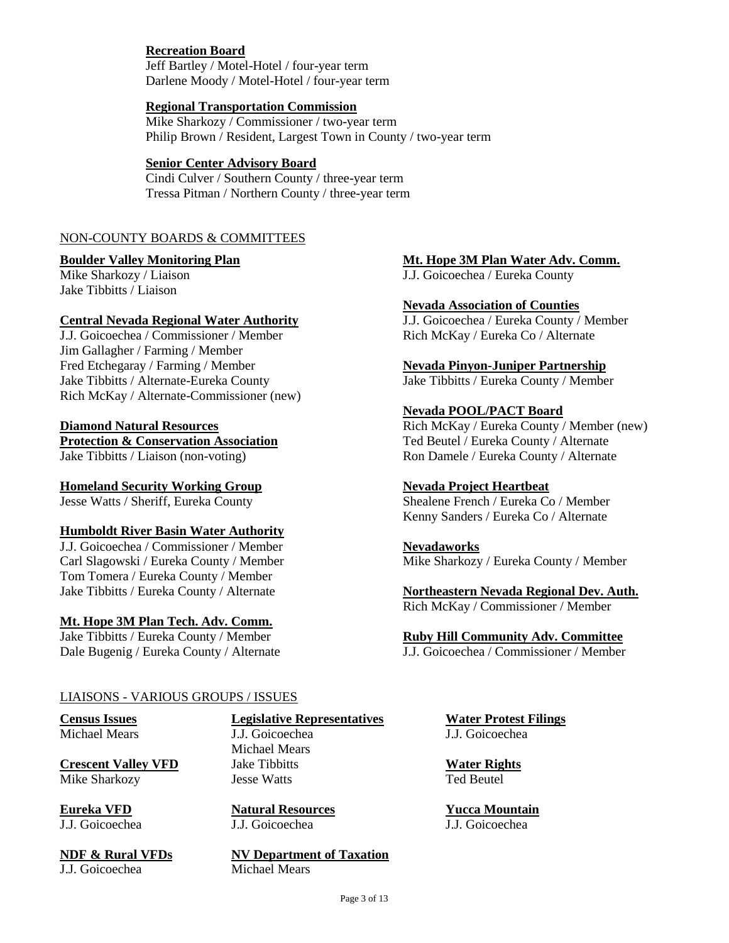# **Recreation Board**

Jeff Bartley / Motel-Hotel / four-year term Darlene Moody / Motel-Hotel / four-year term

#### **Regional Transportation Commission**

Mike Sharkozy / Commissioner / two-year term Philip Brown / Resident, Largest Town in County / two-year term

#### **Senior Center Advisory Board**

Cindi Culver / Southern County / three-year term Tressa Pitman / Northern County / three-year term

### NON-COUNTY BOARDS & COMMITTEES

Jake Tibbitts / Liaison

#### **Central Nevada Regional Water Authority** J.J. Goicoechea / Eureka County / Member

J.J. Goicoechea / Commissioner / Member Rich McKay / Eureka Co / Alternate Jim Gallagher / Farming / Member Fred Etchegaray / Farming / Member **Nevada Pinyon-Juniper Partnership** Jake Tibbitts / Alternate-Eureka County Jake Tibbitts / Eureka County / Member Rich McKay / Alternate-Commissioner (new)

**Protection & Conservation Association** Ted Beutel / Eureka County / Alternate Jake Tibbitts / Liaison (non-voting) Ron Damele / Eureka County / Alternate

**Homeland Security Working Group Nevada Project Heartbeat**

#### **Humboldt River Basin Water Authority**

J.J. Goicoechea / Commissioner / Member **Nevadaworks** Carl Slagowski / Eureka County / Member Mike Sharkozy / Eureka County / Member Tom Tomera / Eureka County / Member

#### **Mt. Hope 3M Plan Tech. Adv. Comm.**

Dale Bugenig / Eureka County / Alternate J.J. Goicoechea / Commissioner / Member

# LIAISONS - VARIOUS GROUPS / ISSUES

# **Census Issues Legislative Representatives Water Protest Filings**

**Crescent Valley VFD** Jake Tibbitts **Water Rights Water Rights** Mike Sharkozy **Jesse Watts** Ted Beutel

J.J. Goicoechea Michael Mears

Michael Mears J.J. Goicoechea J.J. Goicoechea Michael Mears

**Eureka VFD Natural Resources Yucca Mountain** J.J. Goicoechea J.J. Goicoechea J.J. Goicoechea

**NDF & Rural VFDs NV Department of Taxation**

**Boulder Valley Monitoring Plan**<br>Mike Sharkozy / Liaison **Mike Sharkozy / Liaison** J.J. Goicoechea / Eureka County

J.J. Goicoechea / Eureka County

#### **Nevada Association of Counties**

#### **Nevada POOL/PACT Board**

**Diamond Natural Resources** Rich McKay / Eureka County / Member (new)

Jesse Watts / Sheriff, Eureka County Shealene French / Eureka Co / Member Kenny Sanders / Eureka Co / Alternate

Jake Tibbitts / Eureka County / Alternate **Northeastern Nevada Regional Dev. Auth.** Rich McKay / Commissioner / Member

Jake Tibbitts / Eureka County / Member **Ruby Hill Community Adv. Committee**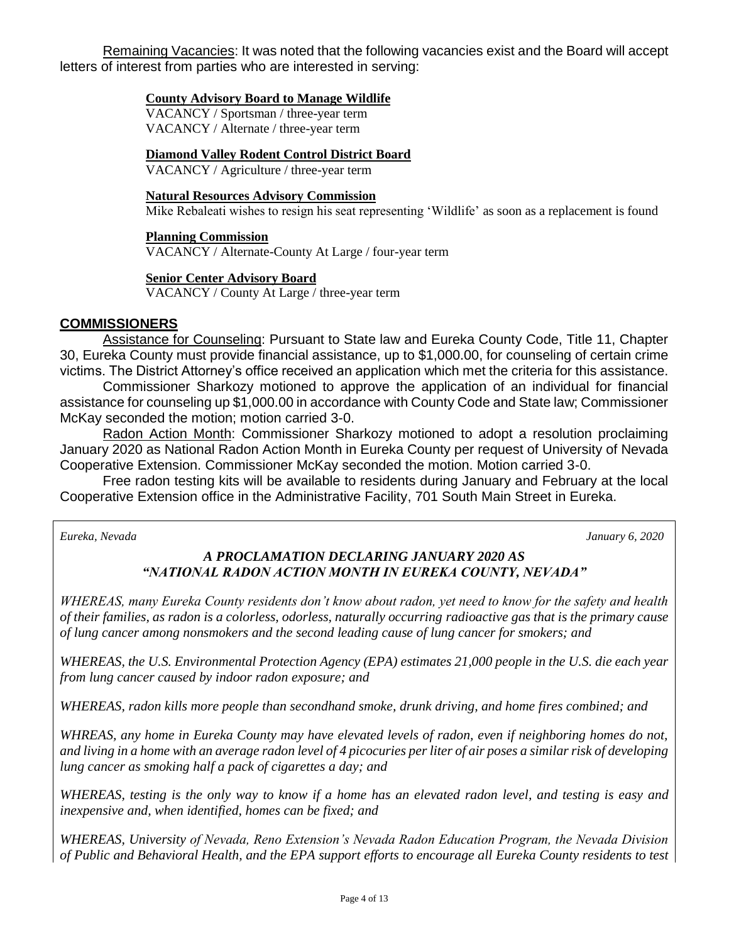Remaining Vacancies: It was noted that the following vacancies exist and the Board will accept letters of interest from parties who are interested in serving:

# **County Advisory Board to Manage Wildlife**

VACANCY / Sportsman / three-year term VACANCY / Alternate / three-year term

### **Diamond Valley Rodent Control District Board**

VACANCY / Agriculture / three-year term

#### **Natural Resources Advisory Commission**

Mike Rebaleati wishes to resign his seat representing 'Wildlife' as soon as a replacement is found

#### **Planning Commission**

VACANCY / Alternate-County At Large / four-year term

#### **Senior Center Advisory Board**

VACANCY / County At Large / three-year term

### **COMMISSIONERS**

Assistance for Counseling: Pursuant to State law and Eureka County Code, Title 11, Chapter 30, Eureka County must provide financial assistance, up to \$1,000.00, for counseling of certain crime victims. The District Attorney's office received an application which met the criteria for this assistance.

Commissioner Sharkozy motioned to approve the application of an individual for financial assistance for counseling up \$1,000.00 in accordance with County Code and State law; Commissioner McKay seconded the motion; motion carried 3-0.

Radon Action Month: Commissioner Sharkozy motioned to adopt a resolution proclaiming January 2020 as National Radon Action Month in Eureka County per request of University of Nevada Cooperative Extension. Commissioner McKay seconded the motion. Motion carried 3-0.

Free radon testing kits will be available to residents during January and February at the local Cooperative Extension office in the Administrative Facility, 701 South Main Street in Eureka.

*Eureka, Nevada January 6, 2020*

# *A PROCLAMATION DECLARING JANUARY 2020 AS "NATIONAL RADON ACTION MONTH IN EUREKA COUNTY, NEVADA"*

*WHEREAS, many Eureka County residents don't know about radon, yet need to know for the safety and health of their families, as radon is a colorless, odorless, naturally occurring radioactive gas that is the primary cause of lung cancer among nonsmokers and the second leading cause of lung cancer for smokers; and*

*WHEREAS, the U.S. Environmental Protection Agency (EPA) estimates 21,000 people in the U.S. die each year from lung cancer caused by indoor radon exposure; and*

*WHEREAS, radon kills more people than secondhand smoke, drunk driving, and home fires combined; and*

*WHREAS, any home in Eureka County may have elevated levels of radon, even if neighboring homes do not, and living in a home with an average radon level of 4 picocuries per liter of air poses a similar risk of developing lung cancer as smoking half a pack of cigarettes a day; and*

*WHEREAS, testing is the only way to know if a home has an elevated radon level, and testing is easy and inexpensive and, when identified, homes can be fixed; and*

*WHEREAS, University of Nevada, Reno Extension's Nevada Radon Education Program, the Nevada Division of Public and Behavioral Health, and the EPA support efforts to encourage all Eureka County residents to test*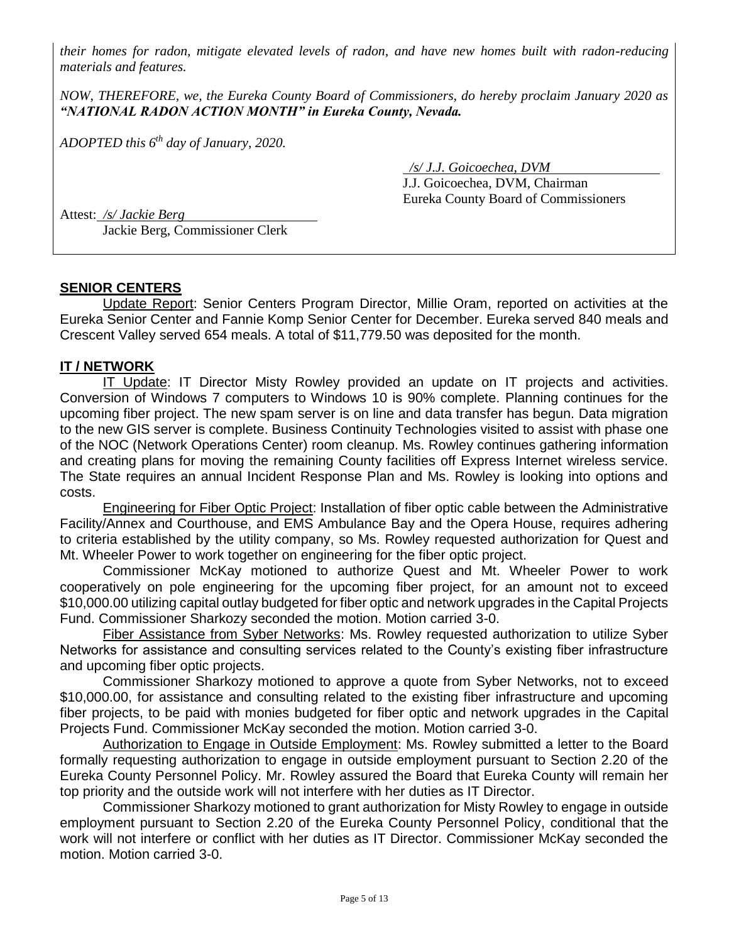*their homes for radon, mitigate elevated levels of radon, and have new homes built with radon-reducing materials and features.*

*NOW, THEREFORE, we, the Eureka County Board of Commissioners, do hereby proclaim January 2020 as "NATIONAL RADON ACTION MONTH" in Eureka County, Nevada.*

*ADOPTED this 6th day of January, 2020.* 

 */s/ J.J. Goicoechea, DVM*

J.J. Goicoechea, DVM, Chairman Eureka County Board of Commissioners

Attest: */s/ Jackie Berg*

Jackie Berg, Commissioner Clerk

# **SENIOR CENTERS**

Update Report: Senior Centers Program Director, Millie Oram, reported on activities at the Eureka Senior Center and Fannie Komp Senior Center for December. Eureka served 840 meals and Crescent Valley served 654 meals. A total of \$11,779.50 was deposited for the month.

# **IT / NETWORK**

IT Update: IT Director Misty Rowley provided an update on IT projects and activities. Conversion of Windows 7 computers to Windows 10 is 90% complete. Planning continues for the upcoming fiber project. The new spam server is on line and data transfer has begun. Data migration to the new GIS server is complete. Business Continuity Technologies visited to assist with phase one of the NOC (Network Operations Center) room cleanup. Ms. Rowley continues gathering information and creating plans for moving the remaining County facilities off Express Internet wireless service. The State requires an annual Incident Response Plan and Ms. Rowley is looking into options and costs.

Engineering for Fiber Optic Project: Installation of fiber optic cable between the Administrative Facility/Annex and Courthouse, and EMS Ambulance Bay and the Opera House, requires adhering to criteria established by the utility company, so Ms. Rowley requested authorization for Quest and Mt. Wheeler Power to work together on engineering for the fiber optic project.

Commissioner McKay motioned to authorize Quest and Mt. Wheeler Power to work cooperatively on pole engineering for the upcoming fiber project, for an amount not to exceed \$10,000.00 utilizing capital outlay budgeted for fiber optic and network upgrades in the Capital Projects Fund. Commissioner Sharkozy seconded the motion. Motion carried 3-0.

Fiber Assistance from Syber Networks: Ms. Rowley requested authorization to utilize Syber Networks for assistance and consulting services related to the County's existing fiber infrastructure and upcoming fiber optic projects.

Commissioner Sharkozy motioned to approve a quote from Syber Networks, not to exceed \$10,000.00, for assistance and consulting related to the existing fiber infrastructure and upcoming fiber projects, to be paid with monies budgeted for fiber optic and network upgrades in the Capital Projects Fund. Commissioner McKay seconded the motion. Motion carried 3-0.

Authorization to Engage in Outside Employment: Ms. Rowley submitted a letter to the Board formally requesting authorization to engage in outside employment pursuant to Section 2.20 of the Eureka County Personnel Policy. Mr. Rowley assured the Board that Eureka County will remain her top priority and the outside work will not interfere with her duties as IT Director.

Commissioner Sharkozy motioned to grant authorization for Misty Rowley to engage in outside employment pursuant to Section 2.20 of the Eureka County Personnel Policy, conditional that the work will not interfere or conflict with her duties as IT Director. Commissioner McKay seconded the motion. Motion carried 3-0.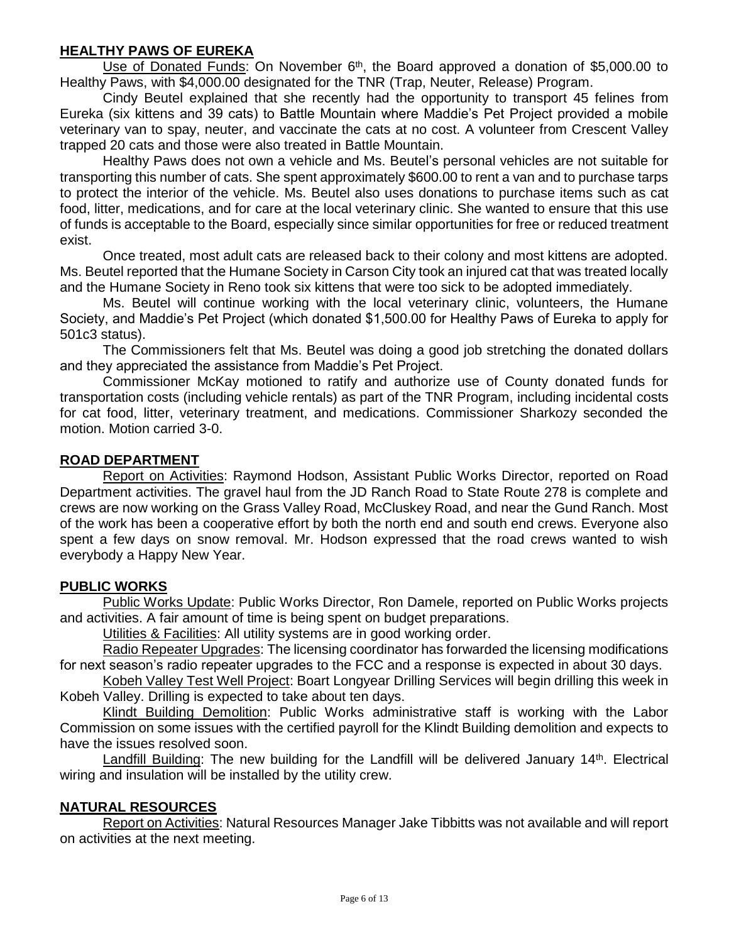# **HEALTHY PAWS OF EUREKA**

Use of Donated Funds: On November  $6<sup>th</sup>$ , the Board approved a donation of \$5,000.00 to Healthy Paws, with \$4,000.00 designated for the TNR (Trap, Neuter, Release) Program.

Cindy Beutel explained that she recently had the opportunity to transport 45 felines from Eureka (six kittens and 39 cats) to Battle Mountain where Maddie's Pet Project provided a mobile veterinary van to spay, neuter, and vaccinate the cats at no cost. A volunteer from Crescent Valley trapped 20 cats and those were also treated in Battle Mountain.

Healthy Paws does not own a vehicle and Ms. Beutel's personal vehicles are not suitable for transporting this number of cats. She spent approximately \$600.00 to rent a van and to purchase tarps to protect the interior of the vehicle. Ms. Beutel also uses donations to purchase items such as cat food, litter, medications, and for care at the local veterinary clinic. She wanted to ensure that this use of funds is acceptable to the Board, especially since similar opportunities for free or reduced treatment exist.

Once treated, most adult cats are released back to their colony and most kittens are adopted. Ms. Beutel reported that the Humane Society in Carson City took an injured cat that was treated locally and the Humane Society in Reno took six kittens that were too sick to be adopted immediately.

Ms. Beutel will continue working with the local veterinary clinic, volunteers, the Humane Society, and Maddie's Pet Project (which donated \$1,500.00 for Healthy Paws of Eureka to apply for 501c3 status).

The Commissioners felt that Ms. Beutel was doing a good job stretching the donated dollars and they appreciated the assistance from Maddie's Pet Project.

Commissioner McKay motioned to ratify and authorize use of County donated funds for transportation costs (including vehicle rentals) as part of the TNR Program, including incidental costs for cat food, litter, veterinary treatment, and medications. Commissioner Sharkozy seconded the motion. Motion carried 3-0.

# **ROAD DEPARTMENT**

Report on Activities: Raymond Hodson, Assistant Public Works Director, reported on Road Department activities. The gravel haul from the JD Ranch Road to State Route 278 is complete and crews are now working on the Grass Valley Road, McCluskey Road, and near the Gund Ranch. Most of the work has been a cooperative effort by both the north end and south end crews. Everyone also spent a few days on snow removal. Mr. Hodson expressed that the road crews wanted to wish everybody a Happy New Year.

# **PUBLIC WORKS**

Public Works Update: Public Works Director, Ron Damele, reported on Public Works projects and activities. A fair amount of time is being spent on budget preparations.

Utilities & Facilities: All utility systems are in good working order.

Radio Repeater Upgrades: The licensing coordinator has forwarded the licensing modifications for next season's radio repeater upgrades to the FCC and a response is expected in about 30 days.

Kobeh Valley Test Well Project: Boart Longyear Drilling Services will begin drilling this week in Kobeh Valley. Drilling is expected to take about ten days.

Klindt Building Demolition: Public Works administrative staff is working with the Labor Commission on some issues with the certified payroll for the Klindt Building demolition and expects to have the issues resolved soon.

Landfill Building: The new building for the Landfill will be delivered January 14<sup>th</sup>. Electrical wiring and insulation will be installed by the utility crew.

# **NATURAL RESOURCES**

Report on Activities: Natural Resources Manager Jake Tibbitts was not available and will report on activities at the next meeting.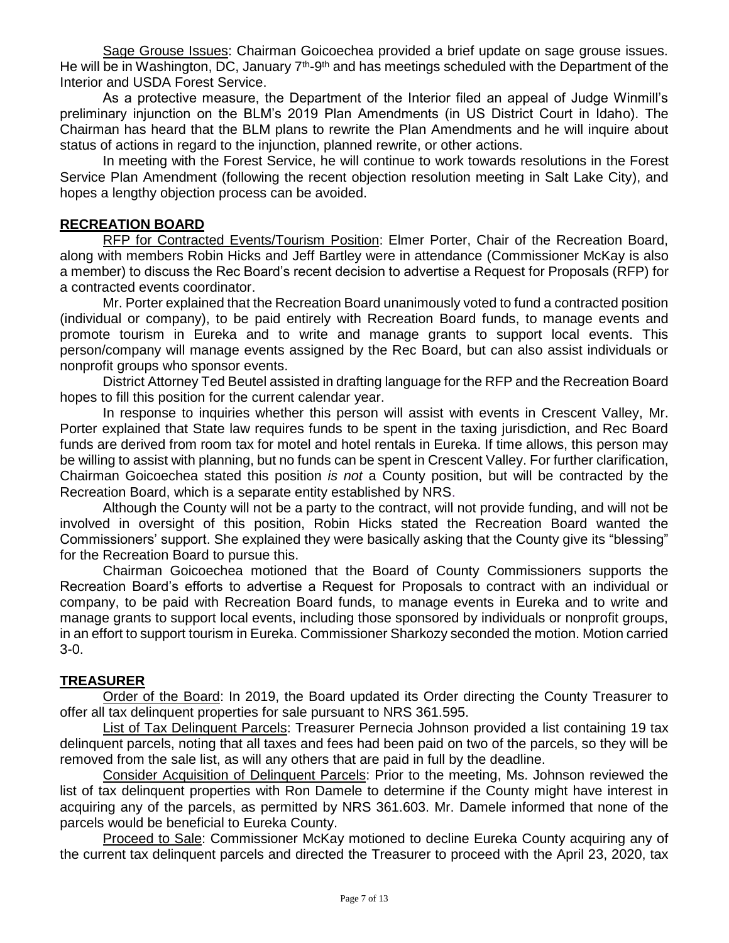Sage Grouse Issues: Chairman Goicoechea provided a brief update on sage grouse issues. He will be in Washington, DC, January  $7<sup>th</sup>-9<sup>th</sup>$  and has meetings scheduled with the Department of the Interior and USDA Forest Service.

As a protective measure, the Department of the Interior filed an appeal of Judge Winmill's preliminary injunction on the BLM's 2019 Plan Amendments (in US District Court in Idaho). The Chairman has heard that the BLM plans to rewrite the Plan Amendments and he will inquire about status of actions in regard to the injunction, planned rewrite, or other actions.

In meeting with the Forest Service, he will continue to work towards resolutions in the Forest Service Plan Amendment (following the recent objection resolution meeting in Salt Lake City), and hopes a lengthy objection process can be avoided.

# **RECREATION BOARD**

RFP for Contracted Events/Tourism Position: Elmer Porter, Chair of the Recreation Board, along with members Robin Hicks and Jeff Bartley were in attendance (Commissioner McKay is also a member) to discuss the Rec Board's recent decision to advertise a Request for Proposals (RFP) for a contracted events coordinator.

Mr. Porter explained that the Recreation Board unanimously voted to fund a contracted position (individual or company), to be paid entirely with Recreation Board funds, to manage events and promote tourism in Eureka and to write and manage grants to support local events. This person/company will manage events assigned by the Rec Board, but can also assist individuals or nonprofit groups who sponsor events.

District Attorney Ted Beutel assisted in drafting language for the RFP and the Recreation Board hopes to fill this position for the current calendar year.

In response to inquiries whether this person will assist with events in Crescent Valley, Mr. Porter explained that State law requires funds to be spent in the taxing jurisdiction, and Rec Board funds are derived from room tax for motel and hotel rentals in Eureka. If time allows, this person may be willing to assist with planning, but no funds can be spent in Crescent Valley. For further clarification, Chairman Goicoechea stated this position *is not* a County position, but will be contracted by the Recreation Board, which is a separate entity established by NRS.

Although the County will not be a party to the contract, will not provide funding, and will not be involved in oversight of this position, Robin Hicks stated the Recreation Board wanted the Commissioners' support. She explained they were basically asking that the County give its "blessing" for the Recreation Board to pursue this.

Chairman Goicoechea motioned that the Board of County Commissioners supports the Recreation Board's efforts to advertise a Request for Proposals to contract with an individual or company, to be paid with Recreation Board funds, to manage events in Eureka and to write and manage grants to support local events, including those sponsored by individuals or nonprofit groups, in an effort to support tourism in Eureka. Commissioner Sharkozy seconded the motion. Motion carried 3-0.

# **TREASURER**

Order of the Board: In 2019, the Board updated its Order directing the County Treasurer to offer all tax delinquent properties for sale pursuant to NRS 361.595.

List of Tax Delinquent Parcels: Treasurer Pernecia Johnson provided a list containing 19 tax delinquent parcels, noting that all taxes and fees had been paid on two of the parcels, so they will be removed from the sale list, as will any others that are paid in full by the deadline.

Consider Acquisition of Delinquent Parcels: Prior to the meeting, Ms. Johnson reviewed the list of tax delinquent properties with Ron Damele to determine if the County might have interest in acquiring any of the parcels, as permitted by NRS 361.603. Mr. Damele informed that none of the parcels would be beneficial to Eureka County.

Proceed to Sale: Commissioner McKay motioned to decline Eureka County acquiring any of the current tax delinquent parcels and directed the Treasurer to proceed with the April 23, 2020, tax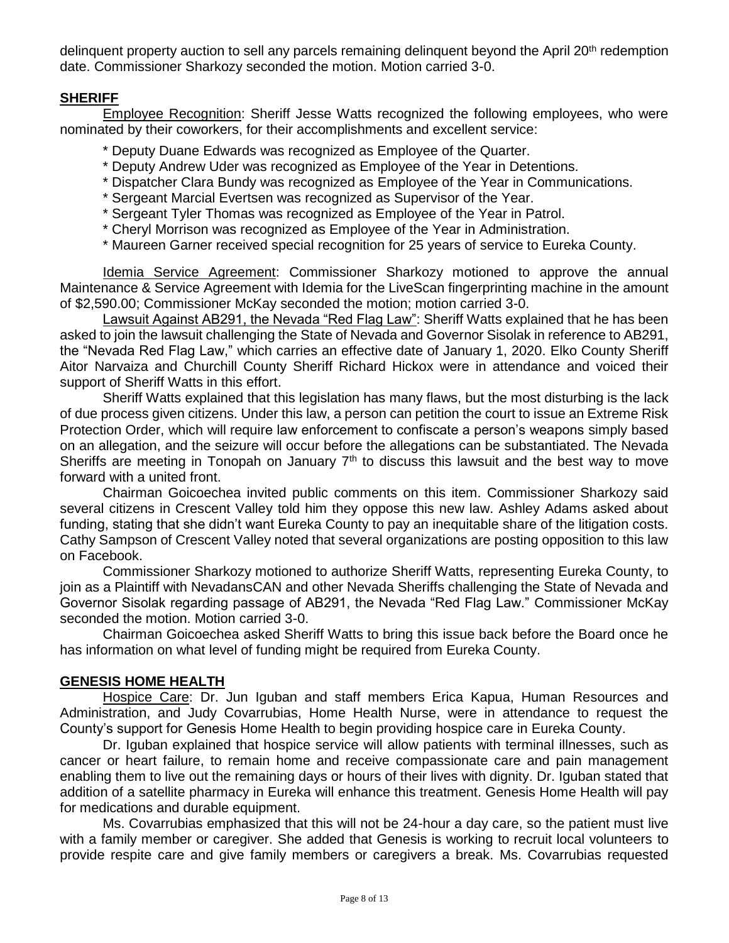delinquent property auction to sell any parcels remaining delinquent beyond the April 20<sup>th</sup> redemption date. Commissioner Sharkozy seconded the motion. Motion carried 3-0.

# **SHERIFF**

Employee Recognition: Sheriff Jesse Watts recognized the following employees, who were nominated by their coworkers, for their accomplishments and excellent service:

- \* Deputy Duane Edwards was recognized as Employee of the Quarter.
- \* Deputy Andrew Uder was recognized as Employee of the Year in Detentions.
- \* Dispatcher Clara Bundy was recognized as Employee of the Year in Communications.
- \* Sergeant Marcial Evertsen was recognized as Supervisor of the Year.
- \* Sergeant Tyler Thomas was recognized as Employee of the Year in Patrol.
- \* Cheryl Morrison was recognized as Employee of the Year in Administration.
- \* Maureen Garner received special recognition for 25 years of service to Eureka County.

Idemia Service Agreement: Commissioner Sharkozy motioned to approve the annual Maintenance & Service Agreement with Idemia for the LiveScan fingerprinting machine in the amount of \$2,590.00; Commissioner McKay seconded the motion; motion carried 3-0.

Lawsuit Against AB291, the Nevada "Red Flag Law": Sheriff Watts explained that he has been asked to join the lawsuit challenging the State of Nevada and Governor Sisolak in reference to AB291, the "Nevada Red Flag Law," which carries an effective date of January 1, 2020. Elko County Sheriff Aitor Narvaiza and Churchill County Sheriff Richard Hickox were in attendance and voiced their support of Sheriff Watts in this effort.

Sheriff Watts explained that this legislation has many flaws, but the most disturbing is the lack of due process given citizens. Under this law, a person can petition the court to issue an Extreme Risk Protection Order, which will require law enforcement to confiscate a person's weapons simply based on an allegation, and the seizure will occur before the allegations can be substantiated. The Nevada Sheriffs are meeting in Tonopah on January  $7<sup>th</sup>$  to discuss this lawsuit and the best way to move forward with a united front.

Chairman Goicoechea invited public comments on this item. Commissioner Sharkozy said several citizens in Crescent Valley told him they oppose this new law. Ashley Adams asked about funding, stating that she didn't want Eureka County to pay an inequitable share of the litigation costs. Cathy Sampson of Crescent Valley noted that several organizations are posting opposition to this law on Facebook.

Commissioner Sharkozy motioned to authorize Sheriff Watts, representing Eureka County, to join as a Plaintiff with NevadansCAN and other Nevada Sheriffs challenging the State of Nevada and Governor Sisolak regarding passage of AB291, the Nevada "Red Flag Law." Commissioner McKay seconded the motion. Motion carried 3-0.

Chairman Goicoechea asked Sheriff Watts to bring this issue back before the Board once he has information on what level of funding might be required from Eureka County.

#### **GENESIS HOME HEALTH**

Hospice Care: Dr. Jun Iguban and staff members Erica Kapua, Human Resources and Administration, and Judy Covarrubias, Home Health Nurse, were in attendance to request the County's support for Genesis Home Health to begin providing hospice care in Eureka County.

Dr. Iguban explained that hospice service will allow patients with terminal illnesses, such as cancer or heart failure, to remain home and receive compassionate care and pain management enabling them to live out the remaining days or hours of their lives with dignity. Dr. Iguban stated that addition of a satellite pharmacy in Eureka will enhance this treatment. Genesis Home Health will pay for medications and durable equipment.

Ms. Covarrubias emphasized that this will not be 24-hour a day care, so the patient must live with a family member or caregiver. She added that Genesis is working to recruit local volunteers to provide respite care and give family members or caregivers a break. Ms. Covarrubias requested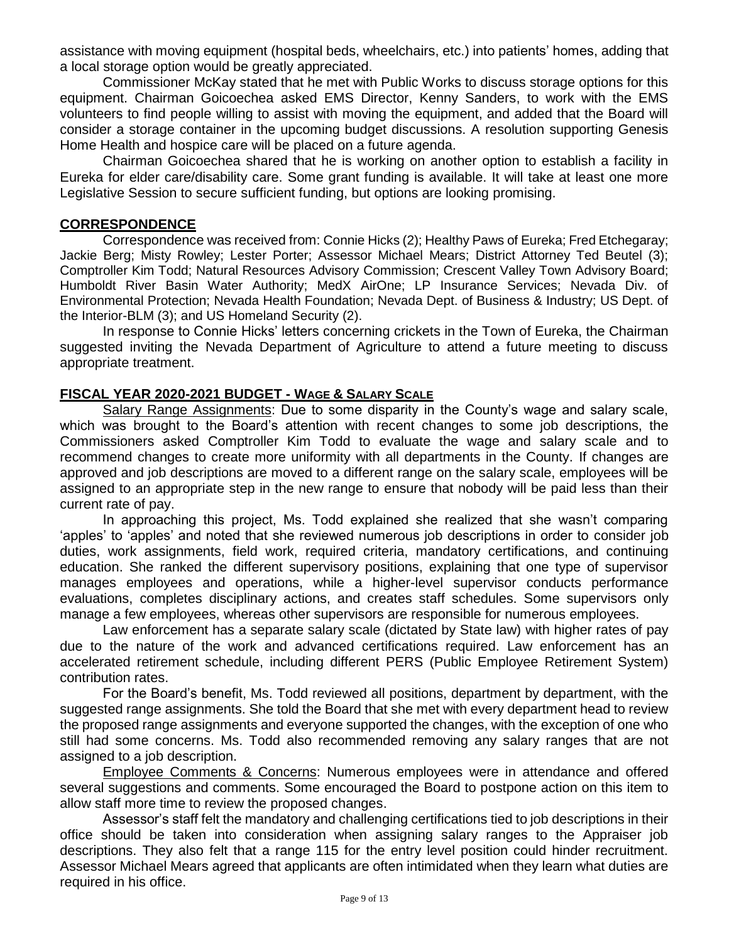assistance with moving equipment (hospital beds, wheelchairs, etc.) into patients' homes, adding that a local storage option would be greatly appreciated.

Commissioner McKay stated that he met with Public Works to discuss storage options for this equipment. Chairman Goicoechea asked EMS Director, Kenny Sanders, to work with the EMS volunteers to find people willing to assist with moving the equipment, and added that the Board will consider a storage container in the upcoming budget discussions. A resolution supporting Genesis Home Health and hospice care will be placed on a future agenda.

Chairman Goicoechea shared that he is working on another option to establish a facility in Eureka for elder care/disability care. Some grant funding is available. It will take at least one more Legislative Session to secure sufficient funding, but options are looking promising.

#### **CORRESPONDENCE**

Correspondence was received from: Connie Hicks (2); Healthy Paws of Eureka; Fred Etchegaray; Jackie Berg; Misty Rowley; Lester Porter; Assessor Michael Mears; District Attorney Ted Beutel (3); Comptroller Kim Todd; Natural Resources Advisory Commission; Crescent Valley Town Advisory Board; Humboldt River Basin Water Authority; MedX AirOne; LP Insurance Services; Nevada Div. of Environmental Protection; Nevada Health Foundation; Nevada Dept. of Business & Industry; US Dept. of the Interior-BLM (3); and US Homeland Security (2).

In response to Connie Hicks' letters concerning crickets in the Town of Eureka, the Chairman suggested inviting the Nevada Department of Agriculture to attend a future meeting to discuss appropriate treatment.

# **FISCAL YEAR 2020-2021 BUDGET - WAGE & SALARY SCALE**

Salary Range Assignments: Due to some disparity in the County's wage and salary scale, which was brought to the Board's attention with recent changes to some job descriptions, the Commissioners asked Comptroller Kim Todd to evaluate the wage and salary scale and to recommend changes to create more uniformity with all departments in the County. If changes are approved and job descriptions are moved to a different range on the salary scale, employees will be assigned to an appropriate step in the new range to ensure that nobody will be paid less than their current rate of pay.

In approaching this project, Ms. Todd explained she realized that she wasn't comparing 'apples' to 'apples' and noted that she reviewed numerous job descriptions in order to consider job duties, work assignments, field work, required criteria, mandatory certifications, and continuing education. She ranked the different supervisory positions, explaining that one type of supervisor manages employees and operations, while a higher-level supervisor conducts performance evaluations, completes disciplinary actions, and creates staff schedules. Some supervisors only manage a few employees, whereas other supervisors are responsible for numerous employees.

Law enforcement has a separate salary scale (dictated by State law) with higher rates of pay due to the nature of the work and advanced certifications required. Law enforcement has an accelerated retirement schedule, including different PERS (Public Employee Retirement System) contribution rates.

For the Board's benefit, Ms. Todd reviewed all positions, department by department, with the suggested range assignments. She told the Board that she met with every department head to review the proposed range assignments and everyone supported the changes, with the exception of one who still had some concerns. Ms. Todd also recommended removing any salary ranges that are not assigned to a job description.

Employee Comments & Concerns: Numerous employees were in attendance and offered several suggestions and comments. Some encouraged the Board to postpone action on this item to allow staff more time to review the proposed changes.

Assessor's staff felt the mandatory and challenging certifications tied to job descriptions in their office should be taken into consideration when assigning salary ranges to the Appraiser job descriptions. They also felt that a range 115 for the entry level position could hinder recruitment. Assessor Michael Mears agreed that applicants are often intimidated when they learn what duties are required in his office.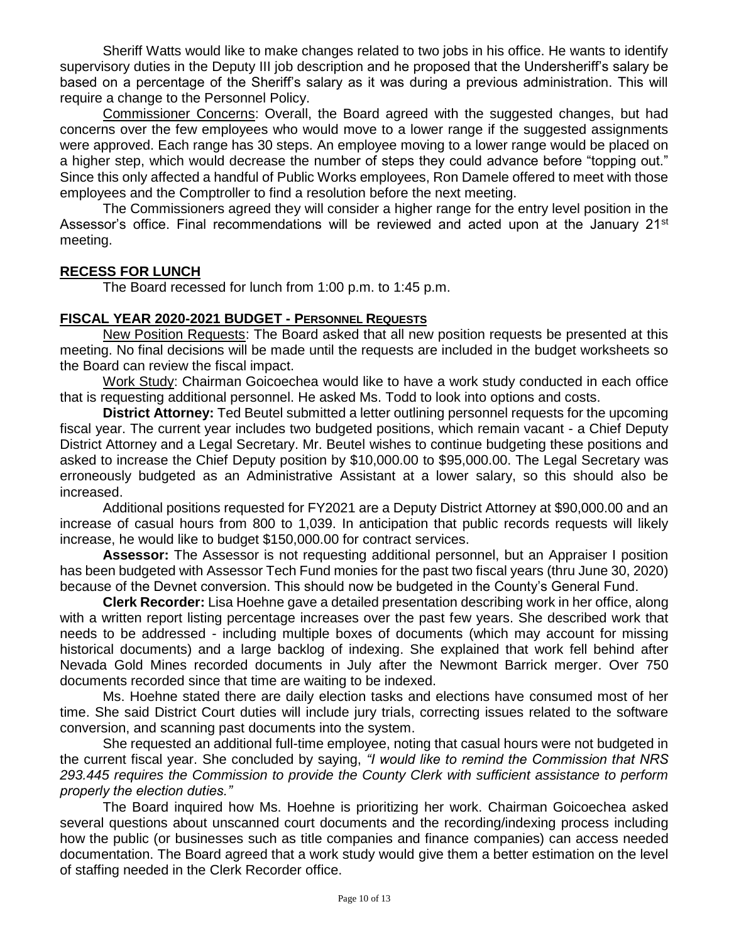Sheriff Watts would like to make changes related to two jobs in his office. He wants to identify supervisory duties in the Deputy III job description and he proposed that the Undersheriff's salary be based on a percentage of the Sheriff's salary as it was during a previous administration. This will require a change to the Personnel Policy.

Commissioner Concerns: Overall, the Board agreed with the suggested changes, but had concerns over the few employees who would move to a lower range if the suggested assignments were approved. Each range has 30 steps. An employee moving to a lower range would be placed on a higher step, which would decrease the number of steps they could advance before "topping out." Since this only affected a handful of Public Works employees, Ron Damele offered to meet with those employees and the Comptroller to find a resolution before the next meeting.

The Commissioners agreed they will consider a higher range for the entry level position in the Assessor's office. Final recommendations will be reviewed and acted upon at the January 21<sup>st</sup> meeting.

# **RECESS FOR LUNCH**

The Board recessed for lunch from 1:00 p.m. to 1:45 p.m.

# **FISCAL YEAR 2020-2021 BUDGET - PERSONNEL REQUESTS**

New Position Requests: The Board asked that all new position requests be presented at this meeting. No final decisions will be made until the requests are included in the budget worksheets so the Board can review the fiscal impact.

Work Study: Chairman Goicoechea would like to have a work study conducted in each office that is requesting additional personnel. He asked Ms. Todd to look into options and costs.

**District Attorney:** Ted Beutel submitted a letter outlining personnel requests for the upcoming fiscal year. The current year includes two budgeted positions, which remain vacant - a Chief Deputy District Attorney and a Legal Secretary. Mr. Beutel wishes to continue budgeting these positions and asked to increase the Chief Deputy position by \$10,000.00 to \$95,000.00. The Legal Secretary was erroneously budgeted as an Administrative Assistant at a lower salary, so this should also be increased.

Additional positions requested for FY2021 are a Deputy District Attorney at \$90,000.00 and an increase of casual hours from 800 to 1,039. In anticipation that public records requests will likely increase, he would like to budget \$150,000.00 for contract services.

**Assessor:** The Assessor is not requesting additional personnel, but an Appraiser I position has been budgeted with Assessor Tech Fund monies for the past two fiscal years (thru June 30, 2020) because of the Devnet conversion. This should now be budgeted in the County's General Fund.

**Clerk Recorder:** Lisa Hoehne gave a detailed presentation describing work in her office, along with a written report listing percentage increases over the past few years. She described work that needs to be addressed - including multiple boxes of documents (which may account for missing historical documents) and a large backlog of indexing. She explained that work fell behind after Nevada Gold Mines recorded documents in July after the Newmont Barrick merger. Over 750 documents recorded since that time are waiting to be indexed.

Ms. Hoehne stated there are daily election tasks and elections have consumed most of her time. She said District Court duties will include jury trials, correcting issues related to the software conversion, and scanning past documents into the system.

She requested an additional full-time employee, noting that casual hours were not budgeted in the current fiscal year. She concluded by saying, *"I would like to remind the Commission that NRS 293.445 requires the Commission to provide the County Clerk with sufficient assistance to perform properly the election duties."* 

The Board inquired how Ms. Hoehne is prioritizing her work. Chairman Goicoechea asked several questions about unscanned court documents and the recording/indexing process including how the public (or businesses such as title companies and finance companies) can access needed documentation. The Board agreed that a work study would give them a better estimation on the level of staffing needed in the Clerk Recorder office.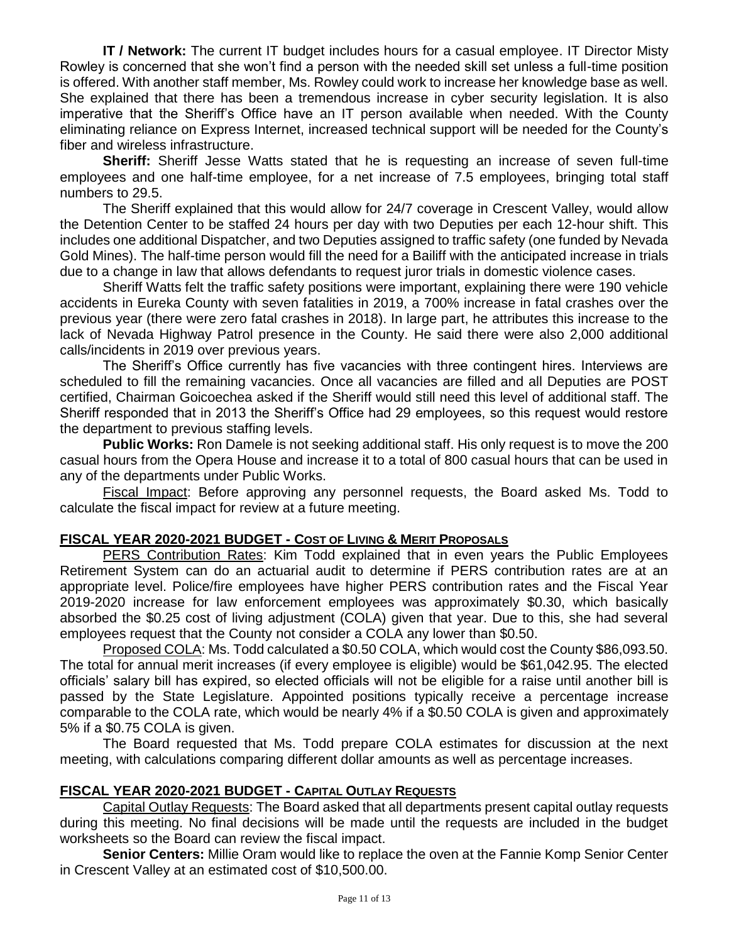**IT / Network:** The current IT budget includes hours for a casual employee. IT Director Misty Rowley is concerned that she won't find a person with the needed skill set unless a full-time position is offered. With another staff member, Ms. Rowley could work to increase her knowledge base as well. She explained that there has been a tremendous increase in cyber security legislation. It is also imperative that the Sheriff's Office have an IT person available when needed. With the County eliminating reliance on Express Internet, increased technical support will be needed for the County's fiber and wireless infrastructure.

**Sheriff:** Sheriff Jesse Watts stated that he is requesting an increase of seven full-time employees and one half-time employee, for a net increase of 7.5 employees, bringing total staff numbers to 29.5.

The Sheriff explained that this would allow for 24/7 coverage in Crescent Valley, would allow the Detention Center to be staffed 24 hours per day with two Deputies per each 12-hour shift. This includes one additional Dispatcher, and two Deputies assigned to traffic safety (one funded by Nevada Gold Mines). The half-time person would fill the need for a Bailiff with the anticipated increase in trials due to a change in law that allows defendants to request juror trials in domestic violence cases.

Sheriff Watts felt the traffic safety positions were important, explaining there were 190 vehicle accidents in Eureka County with seven fatalities in 2019, a 700% increase in fatal crashes over the previous year (there were zero fatal crashes in 2018). In large part, he attributes this increase to the lack of Nevada Highway Patrol presence in the County. He said there were also 2,000 additional calls/incidents in 2019 over previous years.

The Sheriff's Office currently has five vacancies with three contingent hires. Interviews are scheduled to fill the remaining vacancies. Once all vacancies are filled and all Deputies are POST certified, Chairman Goicoechea asked if the Sheriff would still need this level of additional staff. The Sheriff responded that in 2013 the Sheriff's Office had 29 employees, so this request would restore the department to previous staffing levels.

**Public Works:** Ron Damele is not seeking additional staff. His only request is to move the 200 casual hours from the Opera House and increase it to a total of 800 casual hours that can be used in any of the departments under Public Works.

Fiscal Impact: Before approving any personnel requests, the Board asked Ms. Todd to calculate the fiscal impact for review at a future meeting.

# **FISCAL YEAR 2020-2021 BUDGET - COST OF LIVING & MERIT PROPOSALS**

PERS Contribution Rates: Kim Todd explained that in even years the Public Employees Retirement System can do an actuarial audit to determine if PERS contribution rates are at an appropriate level. Police/fire employees have higher PERS contribution rates and the Fiscal Year 2019-2020 increase for law enforcement employees was approximately \$0.30, which basically absorbed the \$0.25 cost of living adjustment (COLA) given that year. Due to this, she had several employees request that the County not consider a COLA any lower than \$0.50.

Proposed COLA: Ms. Todd calculated a \$0.50 COLA, which would cost the County \$86,093.50. The total for annual merit increases (if every employee is eligible) would be \$61,042.95. The elected officials' salary bill has expired, so elected officials will not be eligible for a raise until another bill is passed by the State Legislature. Appointed positions typically receive a percentage increase comparable to the COLA rate, which would be nearly 4% if a \$0.50 COLA is given and approximately 5% if a \$0.75 COLA is given.

The Board requested that Ms. Todd prepare COLA estimates for discussion at the next meeting, with calculations comparing different dollar amounts as well as percentage increases.

# **FISCAL YEAR 2020-2021 BUDGET - CAPITAL OUTLAY REQUESTS**

Capital Outlay Requests: The Board asked that all departments present capital outlay requests during this meeting. No final decisions will be made until the requests are included in the budget worksheets so the Board can review the fiscal impact.

**Senior Centers:** Millie Oram would like to replace the oven at the Fannie Komp Senior Center in Crescent Valley at an estimated cost of \$10,500.00.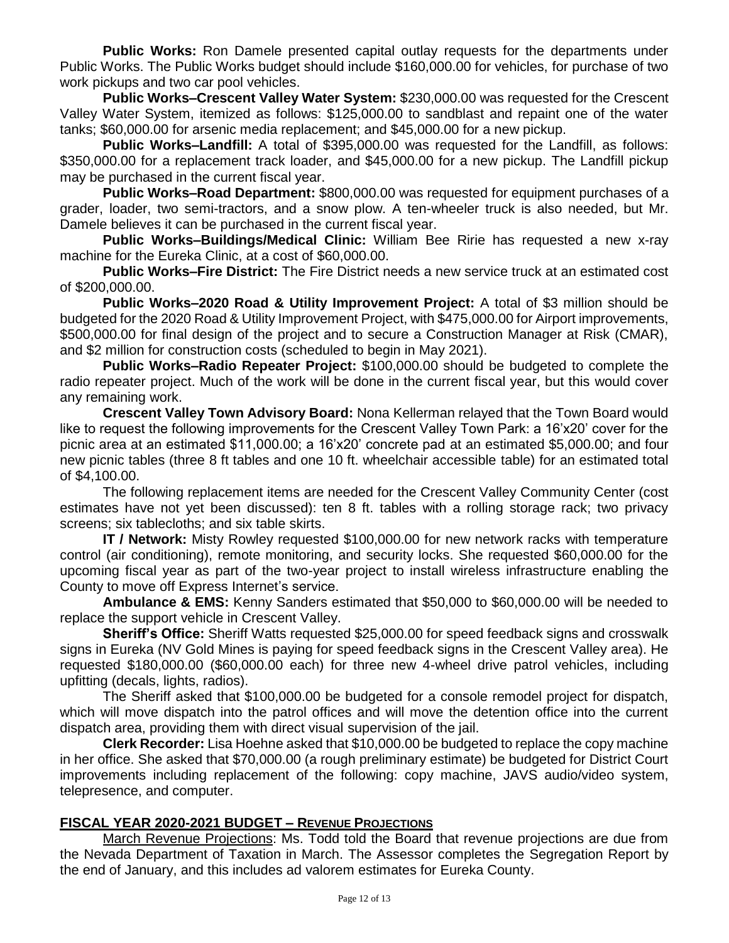**Public Works:** Ron Damele presented capital outlay requests for the departments under Public Works. The Public Works budget should include \$160,000.00 for vehicles, for purchase of two work pickups and two car pool vehicles.

**Public Works–Crescent Valley Water System:** \$230,000.00 was requested for the Crescent Valley Water System, itemized as follows: \$125,000.00 to sandblast and repaint one of the water tanks; \$60,000.00 for arsenic media replacement; and \$45,000.00 for a new pickup.

**Public Works–Landfill:** A total of \$395,000.00 was requested for the Landfill, as follows: \$350,000.00 for a replacement track loader, and \$45,000.00 for a new pickup. The Landfill pickup may be purchased in the current fiscal year.

**Public Works–Road Department:** \$800,000.00 was requested for equipment purchases of a grader, loader, two semi-tractors, and a snow plow. A ten-wheeler truck is also needed, but Mr. Damele believes it can be purchased in the current fiscal year.

**Public Works–Buildings/Medical Clinic:** William Bee Ririe has requested a new x-ray machine for the Eureka Clinic, at a cost of \$60,000.00.

**Public Works–Fire District:** The Fire District needs a new service truck at an estimated cost of \$200,000.00.

**Public Works–2020 Road & Utility Improvement Project:** A total of \$3 million should be budgeted for the 2020 Road & Utility Improvement Project, with \$475,000.00 for Airport improvements, \$500,000.00 for final design of the project and to secure a Construction Manager at Risk (CMAR), and \$2 million for construction costs (scheduled to begin in May 2021).

**Public Works–Radio Repeater Project:** \$100,000.00 should be budgeted to complete the radio repeater project. Much of the work will be done in the current fiscal year, but this would cover any remaining work.

**Crescent Valley Town Advisory Board:** Nona Kellerman relayed that the Town Board would like to request the following improvements for the Crescent Valley Town Park: a 16'x20' cover for the picnic area at an estimated \$11,000.00; a 16'x20' concrete pad at an estimated \$5,000.00; and four new picnic tables (three 8 ft tables and one 10 ft. wheelchair accessible table) for an estimated total of \$4,100.00.

The following replacement items are needed for the Crescent Valley Community Center (cost estimates have not yet been discussed): ten 8 ft. tables with a rolling storage rack; two privacy screens; six tablecloths; and six table skirts.

**IT / Network:** Misty Rowley requested \$100,000.00 for new network racks with temperature control (air conditioning), remote monitoring, and security locks. She requested \$60,000.00 for the upcoming fiscal year as part of the two-year project to install wireless infrastructure enabling the County to move off Express Internet's service.

**Ambulance & EMS:** Kenny Sanders estimated that \$50,000 to \$60,000.00 will be needed to replace the support vehicle in Crescent Valley.

**Sheriff's Office:** Sheriff Watts requested \$25,000.00 for speed feedback signs and crosswalk signs in Eureka (NV Gold Mines is paying for speed feedback signs in the Crescent Valley area). He requested \$180,000.00 (\$60,000.00 each) for three new 4-wheel drive patrol vehicles, including upfitting (decals, lights, radios).

The Sheriff asked that \$100,000.00 be budgeted for a console remodel project for dispatch, which will move dispatch into the patrol offices and will move the detention office into the current dispatch area, providing them with direct visual supervision of the jail.

**Clerk Recorder:** Lisa Hoehne asked that \$10,000.00 be budgeted to replace the copy machine in her office. She asked that \$70,000.00 (a rough preliminary estimate) be budgeted for District Court improvements including replacement of the following: copy machine, JAVS audio/video system, telepresence, and computer.

# **FISCAL YEAR 2020-2021 BUDGET – REVENUE PROJECTIONS**

March Revenue Projections: Ms. Todd told the Board that revenue projections are due from the Nevada Department of Taxation in March. The Assessor completes the Segregation Report by the end of January, and this includes ad valorem estimates for Eureka County.